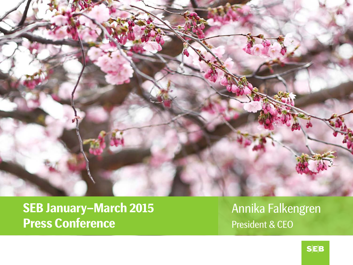

**SEB January –March 2015 Press Conference**

Annika Falkengren President & CEO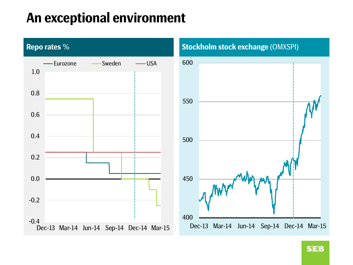### **An exceptional environment**

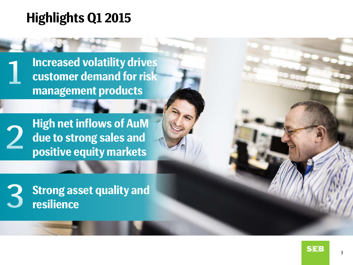### **Highlights Q1 2015**

**Increased volatility drives customer demand for risk management products**



**High net inflows of AuM due to strong sales and positive equity markets**



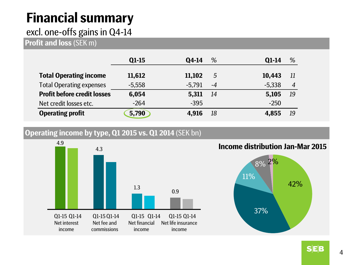# **Financial summary**

#### excl. one-offs gains in Q4-14

**Profit and loss** (SEK m)

|                                    | $Q1-15$  | Q4-14    | %    | $01-14$  | %              |
|------------------------------------|----------|----------|------|----------|----------------|
| <b>Total Operating income</b>      | 11,612   | 11,102   | 5    | 10,443   | -11            |
| <b>Total Operating expenses</b>    | $-5,558$ | $-5,791$ | $-4$ | $-5.338$ | $\overline{4}$ |
| <b>Profit before credit losses</b> | 6,054    | 5,311    | -14  | 5,105    | 19             |
| Net credit losses etc.             | $-264$   | $-395$   |      | $-250$   |                |
| <b>Operating profit</b>            | 5,790    | 4.916    | 18   | 4,855    | 19             |

#### **Operating income by type, Q1 2015 vs. Q1 2014** (SEK bn)



**Income distribution Jan-Mar 2015**



**SEB**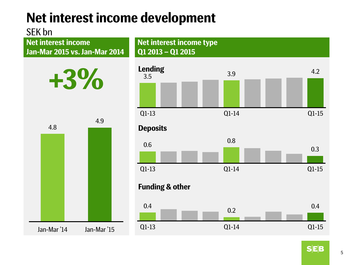### **Net interest income development**

#### SEK bn

**Net interest income Jan-Mar 2015 vs. Jan-Mar 2014**



|             | 4.8 | 4.9         |  |  |  |
|-------------|-----|-------------|--|--|--|
|             |     |             |  |  |  |
|             |     |             |  |  |  |
|             |     |             |  |  |  |
|             |     |             |  |  |  |
|             |     |             |  |  |  |
|             |     |             |  |  |  |
|             |     |             |  |  |  |
|             |     |             |  |  |  |
| Jan-Mar '14 |     | Jan-Mar '15 |  |  |  |

**Net interest income type Q1 2013 – Q1 2015** Priging  $\frac{3.9}{2}$   $\frac{3.9}{2}$   $\frac{4.2}{2}$ Q1-13 Q1-14 Q1-15 0.6 0.8 0.3 Q1-13 Q1-14 Q1-15  $0.4$  0.2 0.4 Q1-13 Q1-14 Q1-15 **Deposits Funding & other Lending**

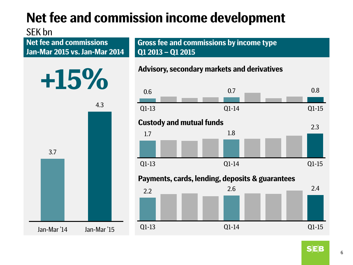# **Net fee and commission income development**

#### SEK bn

**Net fee and commissions Jan-Mar 2015 vs. Jan-Mar 2014** **Gross fee and commissions by income type Q1 2013 – Q1 2015**

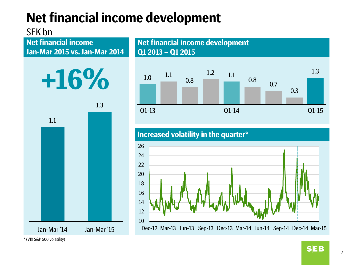## **Net financial income development**

### SEK bn

**Jan-Mar 2015 vs. Jan-Mar 2014**





**Net financial income and income development Net financial income development Q1 2013 – Q1 2015**



**Increased volatility in the quarter\***



\*(VIX S&P 500 volatility)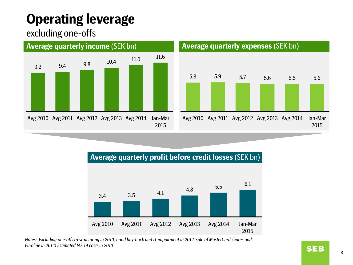## **Operating leverage**

#### excluding one-offs





#### **Average quarterly profit before credit losses** (SEK bn)



*Notes: Excluding one-offs (restructuring in 2010, bond buy-back and IT impairment in 2012, sale of MasterCard shares and Euroline in 2014) Estimated IAS 19 costs in 2010*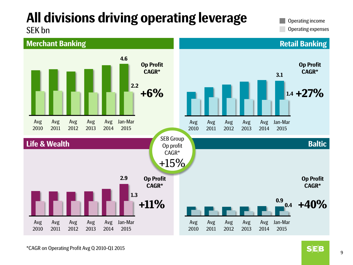# **All divisions driving operating leverage**

Operating income

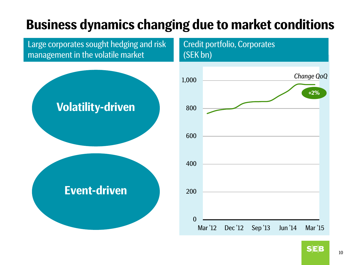## **Business dynamics changing due to market conditions**

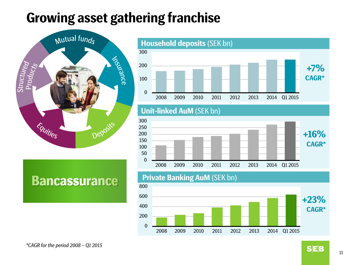### **Growing asset gathering franchise**



**Bancassurance** 



#### **Unit-linked AuM** (SEK bn)



#### **Private Banking AuM** (SEK bn)

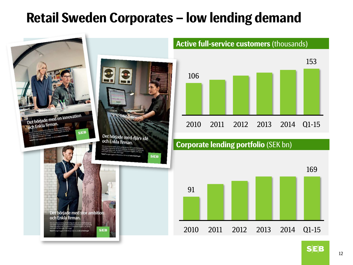### **Retail Sweden Corporates – low lending demand**

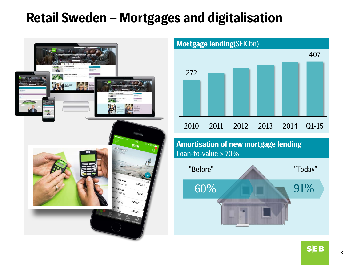### **Retail Sweden – Mortgages and digitalisation**





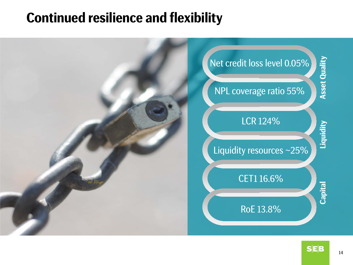### **Continued resilience and flexibility**